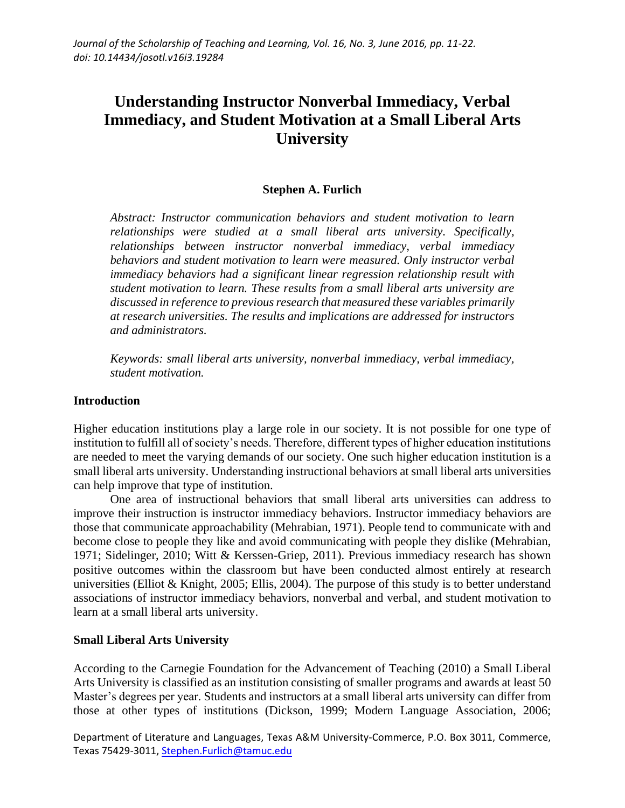# **Understanding Instructor Nonverbal Immediacy, Verbal Immediacy, and Student Motivation at a Small Liberal Arts University**

## **Stephen A. Furlich**

*Abstract: Instructor communication behaviors and student motivation to learn relationships were studied at a small liberal arts university. Specifically, relationships between instructor nonverbal immediacy, verbal immediacy behaviors and student motivation to learn were measured. Only instructor verbal immediacy behaviors had a significant linear regression relationship result with student motivation to learn. These results from a small liberal arts university are discussed in reference to previous research that measured these variables primarily at research universities. The results and implications are addressed for instructors and administrators.* 

*Keywords: small liberal arts university, nonverbal immediacy, verbal immediacy, student motivation.*

#### **Introduction**

Higher education institutions play a large role in our society. It is not possible for one type of institution to fulfill all of society's needs. Therefore, different types of higher education institutions are needed to meet the varying demands of our society. One such higher education institution is a small liberal arts university. Understanding instructional behaviors at small liberal arts universities can help improve that type of institution.

One area of instructional behaviors that small liberal arts universities can address to improve their instruction is instructor immediacy behaviors. Instructor immediacy behaviors are those that communicate approachability (Mehrabian, 1971). People tend to communicate with and become close to people they like and avoid communicating with people they dislike (Mehrabian, 1971; Sidelinger, 2010; Witt & Kerssen-Griep, 2011). Previous immediacy research has shown positive outcomes within the classroom but have been conducted almost entirely at research universities (Elliot & Knight, 2005; Ellis, 2004). The purpose of this study is to better understand associations of instructor immediacy behaviors, nonverbal and verbal, and student motivation to learn at a small liberal arts university.

## **Small Liberal Arts University**

According to the Carnegie Foundation for the Advancement of Teaching (2010) a Small Liberal Arts University is classified as an institution consisting of smaller programs and awards at least 50 Master's degrees per year. Students and instructors at a small liberal arts university can differ from those at other types of institutions (Dickson, 1999; Modern Language Association, 2006;

Department of Literature and Languages, Texas A&M University-Commerce, P.O. Box 3011, Commerce, Texas 75429-3011[, Stephen.Furlich@tamuc.edu](mailto:Stephen.Furlich@tamuc.edu)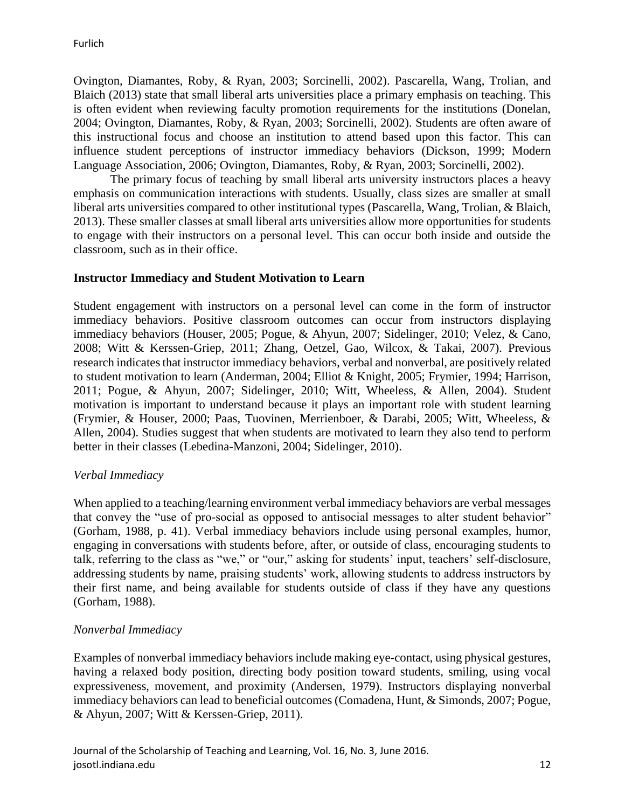Ovington, Diamantes, Roby, & Ryan, 2003; Sorcinelli, 2002). Pascarella, Wang, Trolian, and Blaich (2013) state that small liberal arts universities place a primary emphasis on teaching. This is often evident when reviewing faculty promotion requirements for the institutions (Donelan, 2004; Ovington, Diamantes, Roby, & Ryan, 2003; Sorcinelli, 2002). Students are often aware of this instructional focus and choose an institution to attend based upon this factor. This can influence student perceptions of instructor immediacy behaviors (Dickson, 1999; Modern Language Association, 2006; Ovington, Diamantes, Roby, & Ryan, 2003; Sorcinelli, 2002).

The primary focus of teaching by small liberal arts university instructors places a heavy emphasis on communication interactions with students. Usually, class sizes are smaller at small liberal arts universities compared to other institutional types (Pascarella, Wang, Trolian, & Blaich, 2013). These smaller classes at small liberal arts universities allow more opportunities for students to engage with their instructors on a personal level. This can occur both inside and outside the classroom, such as in their office.

## **Instructor Immediacy and Student Motivation to Learn**

Student engagement with instructors on a personal level can come in the form of instructor immediacy behaviors. Positive classroom outcomes can occur from instructors displaying immediacy behaviors (Houser, 2005; Pogue, & Ahyun, 2007; Sidelinger, 2010; Velez, & Cano, 2008; Witt & Kerssen-Griep, 2011; Zhang, Oetzel, Gao, Wilcox, & Takai, 2007). Previous research indicates that instructor immediacy behaviors, verbal and nonverbal, are positively related to student motivation to learn (Anderman, 2004; Elliot & Knight, 2005; Frymier, 1994; Harrison, 2011; Pogue, & Ahyun, 2007; Sidelinger, 2010; Witt, Wheeless, & Allen, 2004). Student motivation is important to understand because it plays an important role with student learning (Frymier, & Houser, 2000; Paas, Tuovinen, Merrienboer, & Darabi, 2005; Witt, Wheeless, & Allen, 2004). Studies suggest that when students are motivated to learn they also tend to perform better in their classes (Lebedina-Manzoni, 2004; Sidelinger, 2010).

## *Verbal Immediacy*

When applied to a teaching/learning environment verbal immediacy behaviors are verbal messages that convey the "use of pro-social as opposed to antisocial messages to alter student behavior" (Gorham, 1988, p. 41). Verbal immediacy behaviors include using personal examples, humor, engaging in conversations with students before, after, or outside of class, encouraging students to talk, referring to the class as "we," or "our," asking for students' input, teachers' self-disclosure, addressing students by name, praising students' work, allowing students to address instructors by their first name, and being available for students outside of class if they have any questions (Gorham, 1988).

## *Nonverbal Immediacy*

Examples of nonverbal immediacy behaviors include making eye-contact, using physical gestures, having a relaxed body position, directing body position toward students, smiling, using vocal expressiveness, movement, and proximity (Andersen, 1979). Instructors displaying nonverbal immediacy behaviors can lead to beneficial outcomes (Comadena, Hunt, & Simonds, 2007; Pogue, & Ahyun, 2007; Witt & Kerssen-Griep, 2011).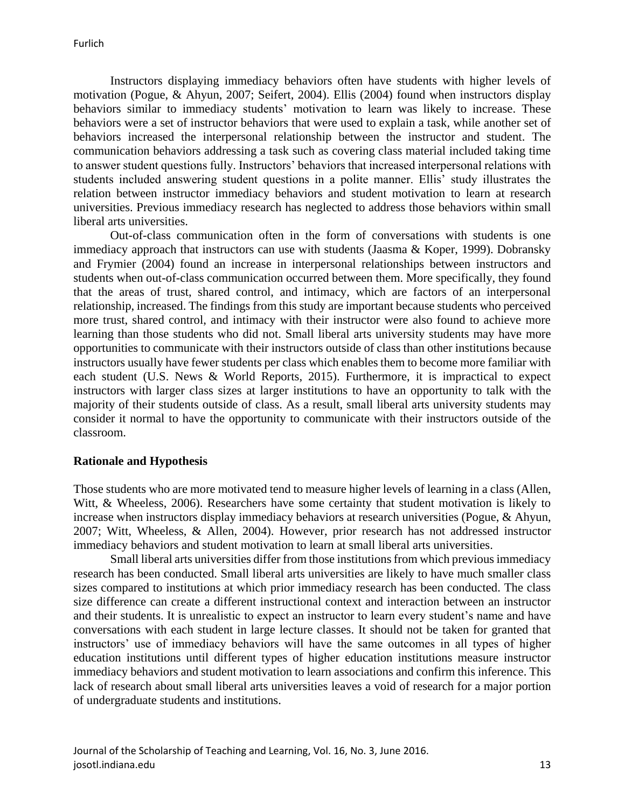Instructors displaying immediacy behaviors often have students with higher levels of motivation (Pogue, & Ahyun, 2007; Seifert, 2004). Ellis (2004) found when instructors display behaviors similar to immediacy students' motivation to learn was likely to increase. These behaviors were a set of instructor behaviors that were used to explain a task, while another set of behaviors increased the interpersonal relationship between the instructor and student. The communication behaviors addressing a task such as covering class material included taking time to answer student questions fully. Instructors' behaviors that increased interpersonal relations with students included answering student questions in a polite manner. Ellis' study illustrates the relation between instructor immediacy behaviors and student motivation to learn at research universities. Previous immediacy research has neglected to address those behaviors within small liberal arts universities.

Out-of-class communication often in the form of conversations with students is one immediacy approach that instructors can use with students (Jaasma & Koper, 1999). Dobransky and Frymier (2004) found an increase in interpersonal relationships between instructors and students when out-of-class communication occurred between them. More specifically, they found that the areas of trust, shared control, and intimacy, which are factors of an interpersonal relationship, increased. The findings from this study are important because students who perceived more trust, shared control, and intimacy with their instructor were also found to achieve more learning than those students who did not. Small liberal arts university students may have more opportunities to communicate with their instructors outside of class than other institutions because instructors usually have fewer students per class which enables them to become more familiar with each student (U.S. News & World Reports, 2015). Furthermore, it is impractical to expect instructors with larger class sizes at larger institutions to have an opportunity to talk with the majority of their students outside of class. As a result, small liberal arts university students may consider it normal to have the opportunity to communicate with their instructors outside of the classroom.

## **Rationale and Hypothesis**

Those students who are more motivated tend to measure higher levels of learning in a class (Allen, Witt, & Wheeless, 2006). Researchers have some certainty that student motivation is likely to increase when instructors display immediacy behaviors at research universities (Pogue, & Ahyun, 2007; Witt, Wheeless, & Allen, 2004). However, prior research has not addressed instructor immediacy behaviors and student motivation to learn at small liberal arts universities.

Small liberal arts universities differ from those institutions from which previous immediacy research has been conducted. Small liberal arts universities are likely to have much smaller class sizes compared to institutions at which prior immediacy research has been conducted. The class size difference can create a different instructional context and interaction between an instructor and their students. It is unrealistic to expect an instructor to learn every student's name and have conversations with each student in large lecture classes. It should not be taken for granted that instructors' use of immediacy behaviors will have the same outcomes in all types of higher education institutions until different types of higher education institutions measure instructor immediacy behaviors and student motivation to learn associations and confirm this inference. This lack of research about small liberal arts universities leaves a void of research for a major portion of undergraduate students and institutions.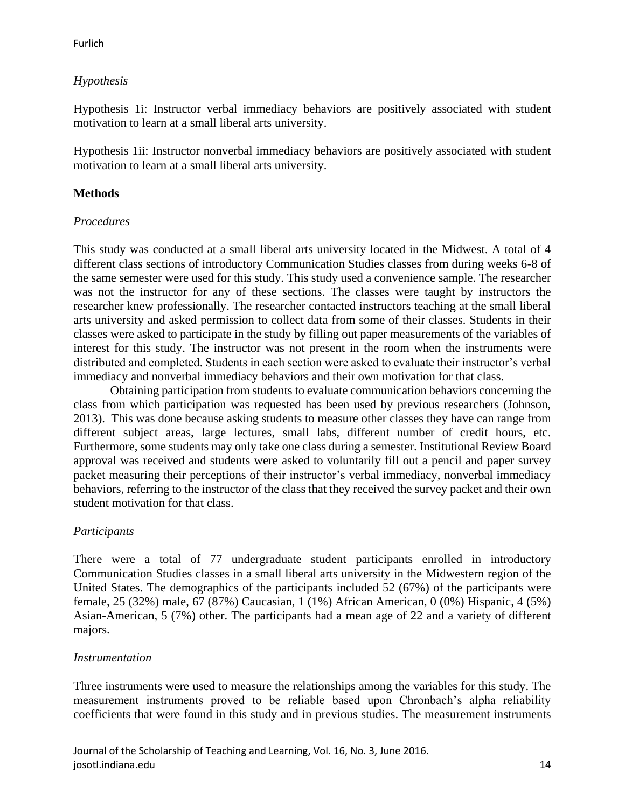#### Furlich

# *Hypothesis*

Hypothesis 1i: Instructor verbal immediacy behaviors are positively associated with student motivation to learn at a small liberal arts university.

Hypothesis 1ii: Instructor nonverbal immediacy behaviors are positively associated with student motivation to learn at a small liberal arts university.

## **Methods**

## *Procedures*

This study was conducted at a small liberal arts university located in the Midwest. A total of 4 different class sections of introductory Communication Studies classes from during weeks 6-8 of the same semester were used for this study. This study used a convenience sample. The researcher was not the instructor for any of these sections. The classes were taught by instructors the researcher knew professionally. The researcher contacted instructors teaching at the small liberal arts university and asked permission to collect data from some of their classes. Students in their classes were asked to participate in the study by filling out paper measurements of the variables of interest for this study. The instructor was not present in the room when the instruments were distributed and completed. Students in each section were asked to evaluate their instructor's verbal immediacy and nonverbal immediacy behaviors and their own motivation for that class.

Obtaining participation from students to evaluate communication behaviors concerning the class from which participation was requested has been used by previous researchers (Johnson, 2013). This was done because asking students to measure other classes they have can range from different subject areas, large lectures, small labs, different number of credit hours, etc. Furthermore, some students may only take one class during a semester. Institutional Review Board approval was received and students were asked to voluntarily fill out a pencil and paper survey packet measuring their perceptions of their instructor's verbal immediacy, nonverbal immediacy behaviors, referring to the instructor of the class that they received the survey packet and their own student motivation for that class.

## *Participants*

There were a total of 77 undergraduate student participants enrolled in introductory Communication Studies classes in a small liberal arts university in the Midwestern region of the United States. The demographics of the participants included 52 (67%) of the participants were female, 25 (32%) male, 67 (87%) Caucasian, 1 (1%) African American, 0 (0%) Hispanic, 4 (5%) Asian-American, 5 (7%) other. The participants had a mean age of 22 and a variety of different majors.

## *Instrumentation*

Three instruments were used to measure the relationships among the variables for this study. The measurement instruments proved to be reliable based upon Chronbach's alpha reliability coefficients that were found in this study and in previous studies. The measurement instruments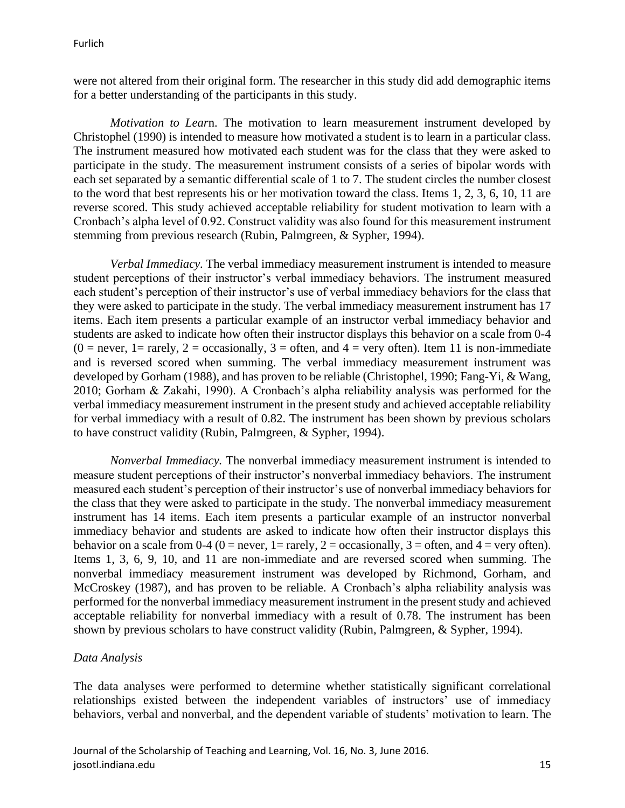were not altered from their original form. The researcher in this study did add demographic items for a better understanding of the participants in this study.

*Motivation to Lear*n. The motivation to learn measurement instrument developed by Christophel (1990) is intended to measure how motivated a student is to learn in a particular class. The instrument measured how motivated each student was for the class that they were asked to participate in the study. The measurement instrument consists of a series of bipolar words with each set separated by a semantic differential scale of 1 to 7. The student circles the number closest to the word that best represents his or her motivation toward the class. Items 1, 2, 3, 6, 10, 11 are reverse scored. This study achieved acceptable reliability for student motivation to learn with a Cronbach's alpha level of 0.92. Construct validity was also found for this measurement instrument stemming from previous research (Rubin, Palmgreen, & Sypher, 1994).

*Verbal Immediacy.* The verbal immediacy measurement instrument is intended to measure student perceptions of their instructor's verbal immediacy behaviors. The instrument measured each student's perception of their instructor's use of verbal immediacy behaviors for the class that they were asked to participate in the study. The verbal immediacy measurement instrument has 17 items. Each item presents a particular example of an instructor verbal immediacy behavior and students are asked to indicate how often their instructor displays this behavior on a scale from 0-4  $(0 = never, 1 = rarely, 2 = occasionally, 3 = often, and 4 = very often).$  Item 11 is non-immediate and is reversed scored when summing. The verbal immediacy measurement instrument was developed by Gorham (1988), and has proven to be reliable (Christophel, 1990; Fang-Yi, & Wang, 2010; Gorham & Zakahi, 1990). A Cronbach's alpha reliability analysis was performed for the verbal immediacy measurement instrument in the present study and achieved acceptable reliability for verbal immediacy with a result of 0.82. The instrument has been shown by previous scholars to have construct validity (Rubin, Palmgreen, & Sypher, 1994).

*Nonverbal Immediacy.* The nonverbal immediacy measurement instrument is intended to measure student perceptions of their instructor's nonverbal immediacy behaviors. The instrument measured each student's perception of their instructor's use of nonverbal immediacy behaviors for the class that they were asked to participate in the study. The nonverbal immediacy measurement instrument has 14 items. Each item presents a particular example of an instructor nonverbal immediacy behavior and students are asked to indicate how often their instructor displays this behavior on a scale from 0-4 (0 = never, 1 = rarely, 2 = occasionally, 3 = often, and 4 = very often). Items 1, 3, 6, 9, 10, and 11 are non-immediate and are reversed scored when summing. The nonverbal immediacy measurement instrument was developed by Richmond, Gorham, and McCroskey (1987), and has proven to be reliable. A Cronbach's alpha reliability analysis was performed for the nonverbal immediacy measurement instrument in the present study and achieved acceptable reliability for nonverbal immediacy with a result of 0.78. The instrument has been shown by previous scholars to have construct validity (Rubin, Palmgreen, & Sypher, 1994).

## *Data Analysis*

The data analyses were performed to determine whether statistically significant correlational relationships existed between the independent variables of instructors' use of immediacy behaviors, verbal and nonverbal, and the dependent variable of students' motivation to learn. The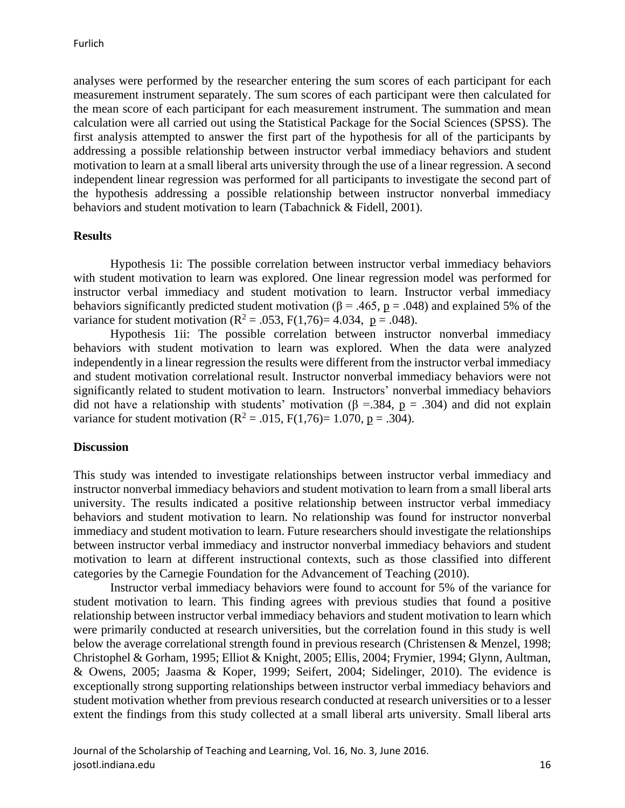analyses were performed by the researcher entering the sum scores of each participant for each measurement instrument separately. The sum scores of each participant were then calculated for the mean score of each participant for each measurement instrument. The summation and mean calculation were all carried out using the Statistical Package for the Social Sciences (SPSS). The first analysis attempted to answer the first part of the hypothesis for all of the participants by addressing a possible relationship between instructor verbal immediacy behaviors and student motivation to learn at a small liberal arts university through the use of a linear regression. A second independent linear regression was performed for all participants to investigate the second part of the hypothesis addressing a possible relationship between instructor nonverbal immediacy behaviors and student motivation to learn (Tabachnick & Fidell, 2001).

#### **Results**

Hypothesis 1i: The possible correlation between instructor verbal immediacy behaviors with student motivation to learn was explored. One linear regression model was performed for instructor verbal immediacy and student motivation to learn. Instructor verbal immediacy behaviors significantly predicted student motivation ( $\beta$  = .465, <u>p</u> = .048) and explained 5% of the variance for student motivation ( $R^2 = .053$ ,  $F(1,76) = 4.034$ ,  $p = .048$ ).

Hypothesis 1ii: The possible correlation between instructor nonverbal immediacy behaviors with student motivation to learn was explored. When the data were analyzed independently in a linear regression the results were different from the instructor verbal immediacy and student motivation correlational result. Instructor nonverbal immediacy behaviors were not significantly related to student motivation to learn. Instructors' nonverbal immediacy behaviors did not have a relationship with students' motivation ( $\beta$  =.384, p = .304) and did not explain variance for student motivation ( $R^2 = .015$ ,  $F(1,76) = 1.070$ ,  $p = .304$ ).

## **Discussion**

This study was intended to investigate relationships between instructor verbal immediacy and instructor nonverbal immediacy behaviors and student motivation to learn from a small liberal arts university. The results indicated a positive relationship between instructor verbal immediacy behaviors and student motivation to learn. No relationship was found for instructor nonverbal immediacy and student motivation to learn. Future researchers should investigate the relationships between instructor verbal immediacy and instructor nonverbal immediacy behaviors and student motivation to learn at different instructional contexts, such as those classified into different categories by the Carnegie Foundation for the Advancement of Teaching (2010).

Instructor verbal immediacy behaviors were found to account for 5% of the variance for student motivation to learn. This finding agrees with previous studies that found a positive relationship between instructor verbal immediacy behaviors and student motivation to learn which were primarily conducted at research universities, but the correlation found in this study is well below the average correlational strength found in previous research (Christensen & Menzel, 1998; Christophel & Gorham, 1995; Elliot & Knight, 2005; Ellis, 2004; Frymier, 1994; Glynn, Aultman, & Owens, 2005; Jaasma & Koper, 1999; Seifert, 2004; Sidelinger, 2010). The evidence is exceptionally strong supporting relationships between instructor verbal immediacy behaviors and student motivation whether from previous research conducted at research universities or to a lesser extent the findings from this study collected at a small liberal arts university. Small liberal arts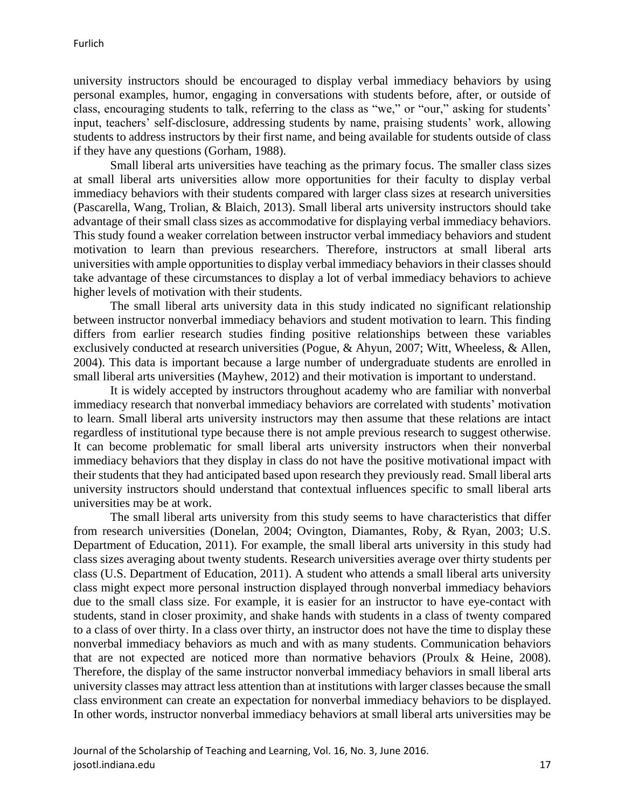university instructors should be encouraged to display verbal immediacy behaviors by using personal examples, humor, engaging in conversations with students before, after, or outside of class, encouraging students to talk, referring to the class as "we," or "our," asking for students' input, teachers' self-disclosure, addressing students by name, praising students' work, allowing students to address instructors by their first name, and being available for students outside of class if they have any questions (Gorham, 1988).

Small liberal arts universities have teaching as the primary focus. The smaller class sizes at small liberal arts universities allow more opportunities for their faculty to display verbal immediacy behaviors with their students compared with larger class sizes at research universities (Pascarella, Wang, Trolian, & Blaich, 2013). Small liberal arts university instructors should take advantage of their small class sizes as accommodative for displaying verbal immediacy behaviors. This study found a weaker correlation between instructor verbal immediacy behaviors and student motivation to learn than previous researchers. Therefore, instructors at small liberal arts universities with ample opportunities to display verbal immediacy behaviors in their classes should take advantage of these circumstances to display a lot of verbal immediacy behaviors to achieve higher levels of motivation with their students.

The small liberal arts university data in this study indicated no significant relationship between instructor nonverbal immediacy behaviors and student motivation to learn. This finding differs from earlier research studies finding positive relationships between these variables exclusively conducted at research universities (Pogue, & Ahyun, 2007; Witt, Wheeless, & Allen, 2004). This data is important because a large number of undergraduate students are enrolled in small liberal arts universities (Mayhew, 2012) and their motivation is important to understand.

It is widely accepted by instructors throughout academy who are familiar with nonverbal immediacy research that nonverbal immediacy behaviors are correlated with students' motivation to learn. Small liberal arts university instructors may then assume that these relations are intact regardless of institutional type because there is not ample previous research to suggest otherwise. It can become problematic for small liberal arts university instructors when their nonverbal immediacy behaviors that they display in class do not have the positive motivational impact with their students that they had anticipated based upon research they previously read. Small liberal arts university instructors should understand that contextual influences specific to small liberal arts universities may be at work.

The small liberal arts university from this study seems to have characteristics that differ from research universities (Donelan, 2004; Ovington, Diamantes, Roby, & Ryan, 2003; U.S. Department of Education, 2011). For example, the small liberal arts university in this study had class sizes averaging about twenty students. Research universities average over thirty students per class (U.S. Department of Education, 2011). A student who attends a small liberal arts university class might expect more personal instruction displayed through nonverbal immediacy behaviors due to the small class size. For example, it is easier for an instructor to have eye-contact with students, stand in closer proximity, and shake hands with students in a class of twenty compared to a class of over thirty. In a class over thirty, an instructor does not have the time to display these nonverbal immediacy behaviors as much and with as many students. Communication behaviors that are not expected are noticed more than normative behaviors (Proulx & Heine, 2008). Therefore, the display of the same instructor nonverbal immediacy behaviors in small liberal arts university classes may attract less attention than at institutions with larger classes because the small class environment can create an expectation for nonverbal immediacy behaviors to be displayed. In other words, instructor nonverbal immediacy behaviors at small liberal arts universities may be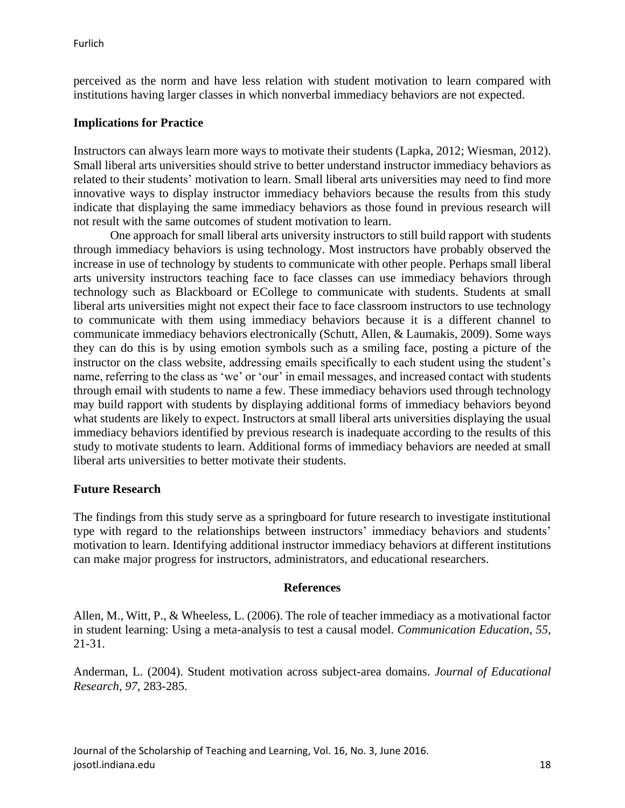perceived as the norm and have less relation with student motivation to learn compared with institutions having larger classes in which nonverbal immediacy behaviors are not expected.

## **Implications for Practice**

Instructors can always learn more ways to motivate their students (Lapka, 2012; Wiesman, 2012). Small liberal arts universities should strive to better understand instructor immediacy behaviors as related to their students' motivation to learn. Small liberal arts universities may need to find more innovative ways to display instructor immediacy behaviors because the results from this study indicate that displaying the same immediacy behaviors as those found in previous research will not result with the same outcomes of student motivation to learn.

One approach for small liberal arts university instructors to still build rapport with students through immediacy behaviors is using technology. Most instructors have probably observed the increase in use of technology by students to communicate with other people. Perhaps small liberal arts university instructors teaching face to face classes can use immediacy behaviors through technology such as Blackboard or ECollege to communicate with students. Students at small liberal arts universities might not expect their face to face classroom instructors to use technology to communicate with them using immediacy behaviors because it is a different channel to communicate immediacy behaviors electronically (Schutt, Allen, & Laumakis, 2009). Some ways they can do this is by using emotion symbols such as a smiling face, posting a picture of the instructor on the class website, addressing emails specifically to each student using the student's name, referring to the class as 'we' or 'our' in email messages, and increased contact with students through email with students to name a few. These immediacy behaviors used through technology may build rapport with students by displaying additional forms of immediacy behaviors beyond what students are likely to expect. Instructors at small liberal arts universities displaying the usual immediacy behaviors identified by previous research is inadequate according to the results of this study to motivate students to learn. Additional forms of immediacy behaviors are needed at small liberal arts universities to better motivate their students.

## **Future Research**

The findings from this study serve as a springboard for future research to investigate institutional type with regard to the relationships between instructors' immediacy behaviors and students' motivation to learn. Identifying additional instructor immediacy behaviors at different institutions can make major progress for instructors, administrators, and educational researchers.

## **References**

Allen, M., Witt, P., & Wheeless, L. (2006). The role of teacher immediacy as a motivational factor in student learning: Using a meta-analysis to test a causal model. *Communication Education, 55,* 21-31.

Anderman, L. (2004). Student motivation across subject-area domains. *Journal of Educational Research, 97,* 283-285.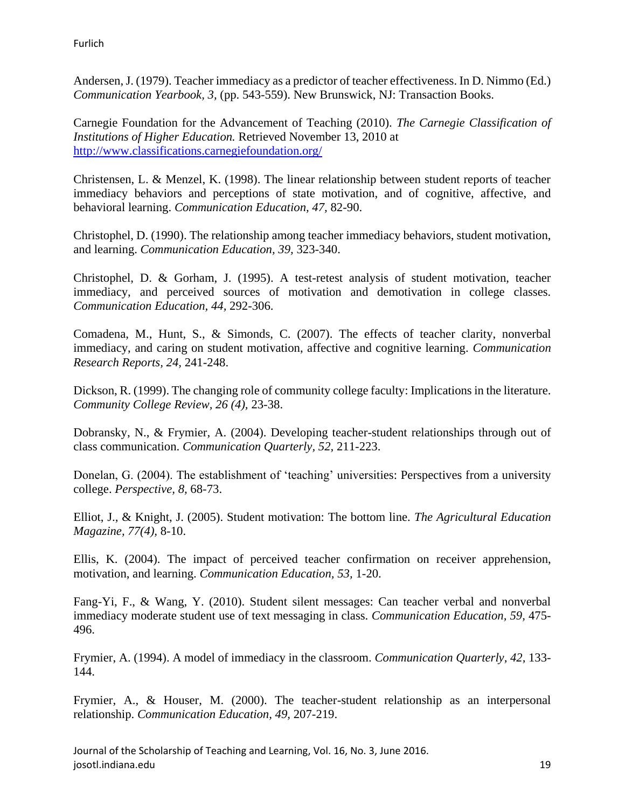Furlich

Andersen, J. (1979). Teacher immediacy as a predictor of teacher effectiveness. In D. Nimmo (Ed.) *Communication Yearbook, 3,* (pp. 543-559). New Brunswick, NJ: Transaction Books.

Carnegie Foundation for the Advancement of Teaching (2010). *The Carnegie Classification of Institutions of Higher Education.* Retrieved November 13, 2010 at <http://www.classifications.carnegiefoundation.org/>

Christensen, L. & Menzel, K. (1998). The linear relationship between student reports of teacher immediacy behaviors and perceptions of state motivation, and of cognitive, affective, and behavioral learning. *Communication Education, 47,* 82-90.

Christophel, D. (1990). The relationship among teacher immediacy behaviors, student motivation, and learning. *Communication Education, 39,* 323-340.

Christophel, D. & Gorham, J. (1995). A test-retest analysis of student motivation, teacher immediacy, and perceived sources of motivation and demotivation in college classes. *Communication Education, 44,* 292-306.

Comadena, M., Hunt, S., & Simonds, C. (2007). The effects of teacher clarity, nonverbal immediacy, and caring on student motivation, affective and cognitive learning. *Communication Research Reports, 24,* 241-248.

Dickson, R. (1999). The changing role of community college faculty: Implications in the literature. *Community College Review, 26 (4),* 23-38.

Dobransky, N., & Frymier, A. (2004). Developing teacher-student relationships through out of class communication. *Communication Quarterly, 52,* 211-223.

Donelan, G. (2004). The establishment of 'teaching' universities: Perspectives from a university college. *Perspective, 8,* 68-73.

Elliot, J., & Knight, J. (2005). Student motivation: The bottom line. *The Agricultural Education Magazine, 77(4),* 8-10.

Ellis, K. (2004). The impact of perceived teacher confirmation on receiver apprehension, motivation, and learning. *Communication Education, 53,* 1-20.

Fang-Yi, F., & Wang, Y. (2010). Student silent messages: Can teacher verbal and nonverbal immediacy moderate student use of text messaging in class. *Communication Education, 59,* 475- 496.

Frymier, A. (1994). A model of immediacy in the classroom. *Communication Quarterly, 42,* 133- 144.

Frymier, A., & Houser, M. (2000). The teacher-student relationship as an interpersonal relationship. *Communication Education, 49,* 207-219.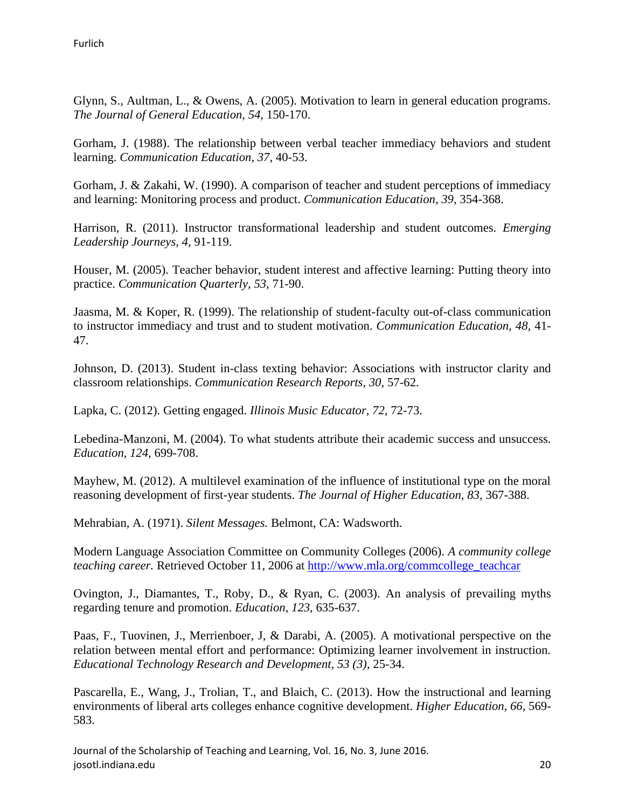Glynn, S., Aultman, L., & Owens, A. (2005). Motivation to learn in general education programs. *The Journal of General Education, 54,* 150-170.

Gorham, J. (1988). The relationship between verbal teacher immediacy behaviors and student learning. *Communication Education, 37,* 40-53.

Gorham, J. & Zakahi, W. (1990). A comparison of teacher and student perceptions of immediacy and learning: Monitoring process and product. *Communication Education, 39,* 354-368.

Harrison, R. (2011). Instructor transformational leadership and student outcomes. *Emerging Leadership Journeys, 4,* 91-119.

Houser, M. (2005). Teacher behavior, student interest and affective learning: Putting theory into practice. *Communication Quarterly, 53,* 71-90.

Jaasma, M. & Koper, R. (1999). The relationship of student-faculty out-of-class communication to instructor immediacy and trust and to student motivation. *Communication Education, 48,* 41- 47.

Johnson, D. (2013). Student in-class texting behavior: Associations with instructor clarity and classroom relationships. *Communication Research Reports, 30,* 57-62.

Lapka, C. (2012). Getting engaged. *Illinois Music Educator, 72,* 72-73.

Lebedina-Manzoni, M. (2004). To what students attribute their academic success and unsuccess. *Education, 124,* 699-708.

Mayhew, M. (2012). A multilevel examination of the influence of institutional type on the moral reasoning development of first-year students. *The Journal of Higher Education, 83,* 367-388.

Mehrabian, A. (1971). *Silent Messages.* Belmont, CA: Wadsworth.

Modern Language Association Committee on Community Colleges (2006). *A community college teaching career.* Retrieved October 11, 2006 at [http://www.mla.org/commcollege\\_teachcar](http://www.mla.org/commcollege_teachcar)

Ovington, J., Diamantes, T., Roby, D., & Ryan, C. (2003). An analysis of prevailing myths regarding tenure and promotion. *Education, 123,* 635-637.

Paas, F., Tuovinen, J., Merrienboer, J, & Darabi, A. (2005). A motivational perspective on the relation between mental effort and performance: Optimizing learner involvement in instruction. *Educational Technology Research and Development, 53 (3),* 25-34.

Pascarella, E., Wang, J., Trolian, T., and Blaich, C. (2013). How the instructional and learning environments of liberal arts colleges enhance cognitive development. *Higher Education, 66,* 569- 583.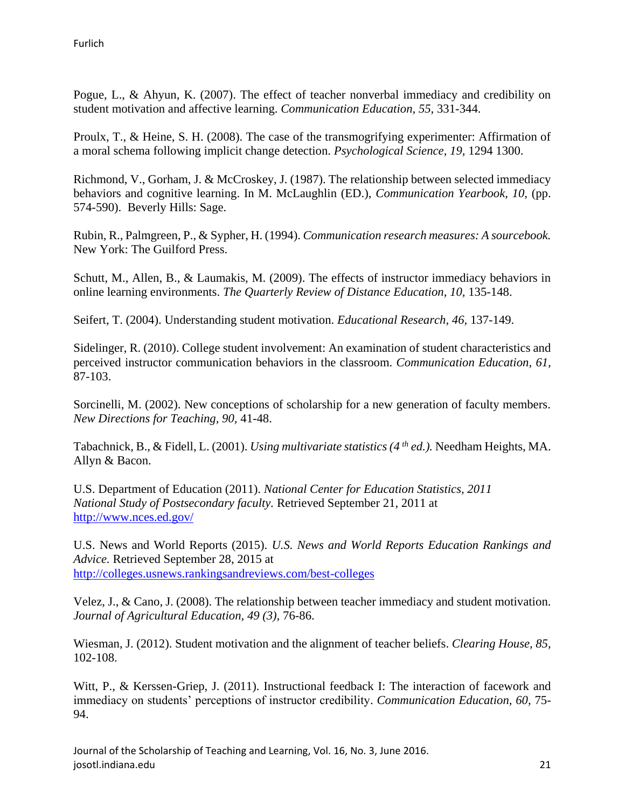Pogue, L., & Ahyun, K. (2007). The effect of teacher nonverbal immediacy and credibility on student motivation and affective learning. *Communication Education, 55,* 331-344.

Proulx, T., & Heine, S. H. (2008). The case of the transmogrifying experimenter: Affirmation of a moral schema following implicit change detection. *Psychological Science, 19,* 1294 1300.

Richmond, V., Gorham, J. & McCroskey, J. (1987). The relationship between selected immediacy behaviors and cognitive learning. In M. McLaughlin (ED.), *Communication Yearbook, 10,* (pp. 574-590). Beverly Hills: Sage.

Rubin, R., Palmgreen, P., & Sypher, H. (1994). *Communication research measures: A sourcebook.* New York: The Guilford Press.

Schutt, M., Allen, B., & Laumakis, M. (2009). The effects of instructor immediacy behaviors in online learning environments. *The Quarterly Review of Distance Education, 10,* 135-148.

Seifert, T. (2004). Understanding student motivation. *Educational Research, 46,* 137-149.

Sidelinger, R. (2010). College student involvement: An examination of student characteristics and perceived instructor communication behaviors in the classroom. *Communication Education, 61,* 87-103.

Sorcinelli, M. (2002). New conceptions of scholarship for a new generation of faculty members. *New Directions for Teaching, 90,* 41-48.

Tabachnick, B., & Fidell, L. (2001). *Using multivariate statistics (4 th ed.).* Needham Heights, MA. Allyn & Bacon.

U.S. Department of Education (2011). *National Center for Education Statistics, 2011 National Study of Postsecondary faculty.* Retrieved September 21, 2011 at <http://www.nces.ed.gov/>

U.S. News and World Reports (2015). *U.S. News and World Reports Education Rankings and Advice.* Retrieved September 28, 2015 at <http://colleges.usnews.rankingsandreviews.com/best-colleges>

Velez, J., & Cano, J. (2008). The relationship between teacher immediacy and student motivation. *Journal of Agricultural Education, 49 (3),* 76-86.

Wiesman, J. (2012). Student motivation and the alignment of teacher beliefs. *Clearing House, 85,* 102-108.

Witt, P., & Kerssen-Griep, J. (2011). Instructional feedback I: The interaction of facework and immediacy on students' perceptions of instructor credibility. *Communication Education, 60,* 75- 94.